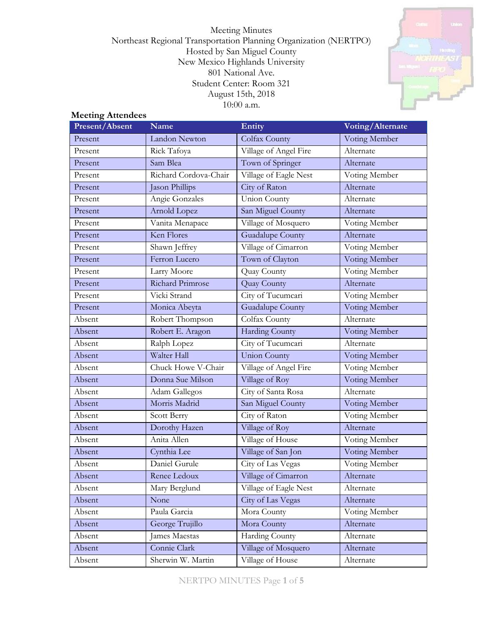Meeting Minutes Northeast Regional Transportation Planning Organization (NERTPO) Hosted by San Miguel County New Mexico Highlands University 801 National Ave. Student Center: Room 321 August 15th, 2018 10:00 a.m.



# **Meeting Attendees**

| Present/Absent | <b>Name</b>           | Entity                | Voting/Alternate     |  |
|----------------|-----------------------|-----------------------|----------------------|--|
| Present        | Landon Newton         | Colfax County         | Voting Member        |  |
| Present        | Rick Tafoya           | Village of Angel Fire | Alternate            |  |
| Present        | Sam Blea              | Town of Springer      | Alternate            |  |
| Present        | Richard Cordova-Chair | Village of Eagle Nest | Voting Member        |  |
| Present        | Jason Phillips        | City of Raton         | Alternate            |  |
| Present        | Angie Gonzales        | <b>Union County</b>   | Alternate            |  |
| Present        | Arnold Lopez          | San Miguel County     | Alternate            |  |
| Present        | Vanita Menapace       | Village of Mosquero   | Voting Member        |  |
| Present        | Ken Flores            | Guadalupe County      | Alternate            |  |
| Present        | Shawn Jeffrey         | Village of Cimarron   | Voting Member        |  |
| Present        | Ferron Lucero         | Town of Clayton       | Voting Member        |  |
| Present        | Larry Moore           | Quay County           | Voting Member        |  |
| Present        | Richard Primrose      | Quay County           | Alternate            |  |
| Present        | Vicki Strand          | City of Tucumcari     | Voting Member        |  |
| Present        | Monica Abeyta         | Guadalupe County      | <b>Voting Member</b> |  |
| Absent         | Robert Thompson       | Colfax County         | Alternate            |  |
| Absent         | Robert E. Aragon      | Harding County        | Voting Member        |  |
| Absent         | Ralph Lopez           | City of Tucumcari     | Alternate            |  |
| Absent         | Walter Hall           | <b>Union County</b>   | Voting Member        |  |
| Absent         | Chuck Howe V-Chair    | Village of Angel Fire | Voting Member        |  |
| Absent         | Donna Sue Milson      | Village of Roy        | Voting Member        |  |
| Absent         | Adam Gallegos         | City of Santa Rosa    | Alternate            |  |
| Absent         | Morris Madrid         | San Miguel County     | Voting Member        |  |
| Absent         | Scott Berry           | City of Raton         | Voting Member        |  |
| Absent         | Dorothy Hazen         | Village of Roy        | Alternate            |  |
| Absent         | Anita Allen           | Village of House      | Voting Member        |  |
| Absent         | Cynthia Lee           | Village of San Jon    | Voting Member        |  |
| Absent         | Daniel Gurule         | City of Las Vegas     | Voting Member        |  |
| Absent         | Renee Ledoux          | Village of Cimarron   | Alternate            |  |
| Absent         | Mary Berglund         | Village of Eagle Nest | Alternate            |  |
| Absent         | None                  | City of Las Vegas     | Alternate            |  |
| Absent         | Paula Garcia          | Mora County           | Voting Member        |  |
| Absent         | George Trujillo       | Mora County           | Alternate            |  |
| Absent         | James Maestas         | Harding County        | Alternate            |  |
| Absent         | Connie Clark          | Village of Mosquero   | Alternate            |  |
| Absent         | Sherwin W. Martin     | Village of House      | Alternate            |  |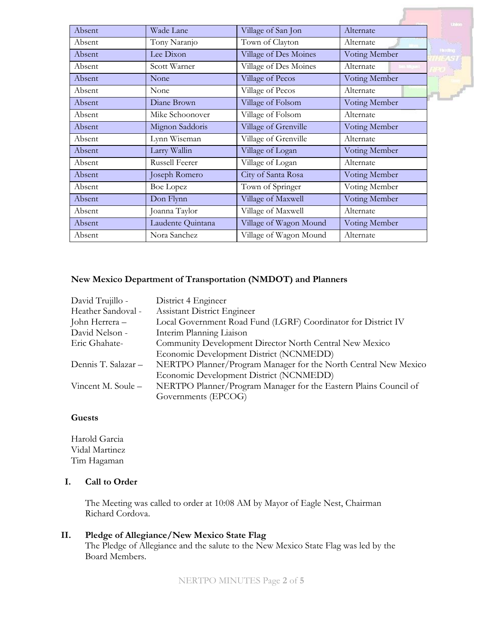|        |                       |                        |               | <b>United</b>  |
|--------|-----------------------|------------------------|---------------|----------------|
| Absent | Wade Lane             | Village of San Jon     | Alternate     |                |
| Absent | Tony Naranjo          | Town of Clayton        | Alternate     |                |
| Absent | Lee Dixon             | Village of Des Moines  | Voting Member | <b>Handbug</b> |
| Absent | Scott Warner          | Village of Des Moines  | Alternate     |                |
| Absent | None                  | Village of Pecos       | Voting Member |                |
| Absent | None                  | Village of Pecos       | Alternate     |                |
| Absent | Diane Brown           | Village of Folsom      | Voting Member |                |
| Absent | Mike Schoonover       | Village of Folsom      | Alternate     |                |
| Absent | Mignon Saddoris       | Village of Grenville   | Voting Member |                |
| Absent | Lynn Wiseman          | Village of Grenville   | Alternate     |                |
| Absent | Larry Wallin          | Village of Logan       | Voting Member |                |
| Absent | <b>Russell Feerer</b> | Village of Logan       | Alternate     |                |
| Absent | Joseph Romero         | City of Santa Rosa     | Voting Member |                |
| Absent | Boe Lopez             | Town of Springer       | Voting Member |                |
| Absent | Don Flynn             | Village of Maxwell     | Voting Member |                |
| Absent | Joanna Taylor         | Village of Maxwell     | Alternate     |                |
| Absent | Laudente Quintana     | Village of Wagon Mound | Voting Member |                |
| Absent | Nora Sanchez          | Village of Wagon Mound | Alternate     |                |

#### **New Mexico Department of Transportation (NMDOT) and Planners**

| David Trujillo -    | District 4 Engineer                                              |
|---------------------|------------------------------------------------------------------|
| Heather Sandoval -  | <b>Assistant District Engineer</b>                               |
| John Herrera –      | Local Government Road Fund (LGRF) Coordinator for District IV    |
| David Nelson -      | Interim Planning Liaison                                         |
| Eric Ghahate-       | Community Development Director North Central New Mexico          |
|                     | Economic Development District (NCNMEDD)                          |
| Dennis T. Salazar - | NERTPO Planner/Program Manager for the North Central New Mexico  |
|                     | Economic Development District (NCNMEDD)                          |
| Vincent M. Soule –  | NERTPO Planner/Program Manager for the Eastern Plains Council of |
|                     | Governments (EPCOG)                                              |

# **Guests**

Harold Garcia Vidal Martinez Tim Hagaman

## **I. Call to Order**

The Meeting was called to order at 10:08 AM by Mayor of Eagle Nest, Chairman Richard Cordova.

# **II. Pledge of Allegiance/New Mexico State Flag**

The Pledge of Allegiance and the salute to the New Mexico State Flag was led by the Board Members.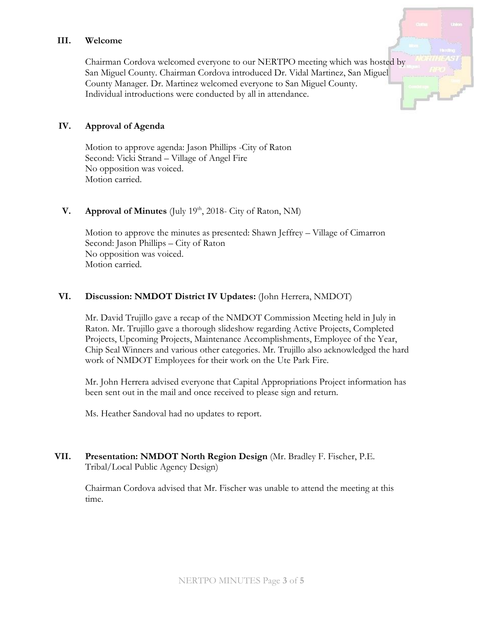#### **III. Welcome**

Chairman Cordova welcomed everyone to our NERTPO meeting which was hosted by San Miguel County. Chairman Cordova introduced Dr. Vidal Martinez, San Miguel County Manager. Dr. Martinez welcomed everyone to San Miguel County. Individual introductions were conducted by all in attendance.

#### **IV. Approval of Agenda**

Motion to approve agenda: Jason Phillips -City of Raton Second: Vicki Strand – Village of Angel Fire No opposition was voiced. Motion carried.

# **V. Approval of Minutes** (July 19<sup>th</sup>, 2018- City of Raton, NM)

Motion to approve the minutes as presented: Shawn Jeffrey – Village of Cimarron Second: Jason Phillips – City of Raton No opposition was voiced. Motion carried.

#### **VI. Discussion: NMDOT District IV Updates:** (John Herrera, NMDOT)

Mr. David Trujillo gave a recap of the NMDOT Commission Meeting held in July in Raton. Mr. Trujillo gave a thorough slideshow regarding Active Projects, Completed Projects, Upcoming Projects, Maintenance Accomplishments, Employee of the Year, Chip Seal Winners and various other categories. Mr. Trujillo also acknowledged the hard work of NMDOT Employees for their work on the Ute Park Fire.

Mr. John Herrera advised everyone that Capital Appropriations Project information has been sent out in the mail and once received to please sign and return.

Ms. Heather Sandoval had no updates to report.

**VII. Presentation: NMDOT North Region Design** (Mr. Bradley F. Fischer, P.E. Tribal/Local Public Agency Design)

Chairman Cordova advised that Mr. Fischer was unable to attend the meeting at this time.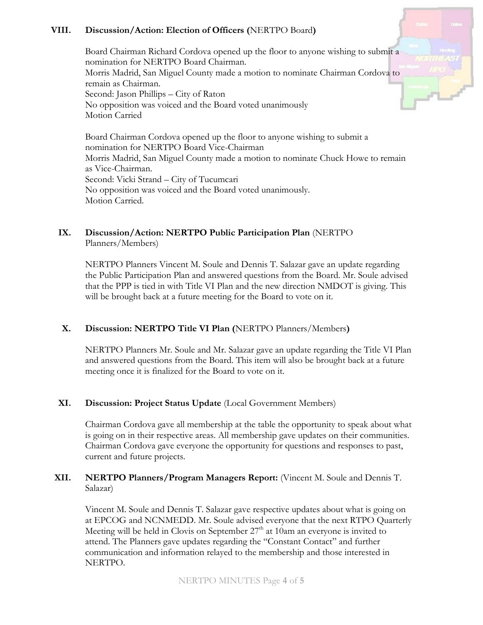# **VIII. Discussion/Action: Election of Officers (**NERTPO Board**)**

Board Chairman Richard Cordova opened up the floor to anyone wishing to submit a nomination for NERTPO Board Chairman. Morris Madrid, San Miguel County made a motion to nominate Chairman Cordova to remain as Chairman. Second: Jason Phillips – City of Raton No opposition was voiced and the Board voted unanimously Motion Carried

Board Chairman Cordova opened up the floor to anyone wishing to submit a nomination for NERTPO Board Vice-Chairman Morris Madrid, San Miguel County made a motion to nominate Chuck Howe to remain as Vice-Chairman. Second: Vicki Strand – City of Tucumcari No opposition was voiced and the Board voted unanimously. Motion Carried.

## **IX. Discussion/Action: NERTPO Public Participation Plan** (NERTPO Planners/Members)

NERTPO Planners Vincent M. Soule and Dennis T. Salazar gave an update regarding the Public Participation Plan and answered questions from the Board. Mr. Soule advised that the PPP is tied in with Title VI Plan and the new direction NMDOT is giving. This will be brought back at a future meeting for the Board to vote on it.

## **X. Discussion: NERTPO Title VI Plan (**NERTPO Planners/Members**)**

NERTPO Planners Mr. Soule and Mr. Salazar gave an update regarding the Title VI Plan and answered questions from the Board. This item will also be brought back at a future meeting once it is finalized for the Board to vote on it.

## **XI. Discussion: Project Status Update** (Local Government Members)

Chairman Cordova gave all membership at the table the opportunity to speak about what is going on in their respective areas. All membership gave updates on their communities. Chairman Cordova gave everyone the opportunity for questions and responses to past, current and future projects.

# **XII. NERTPO Planners/Program Managers Report:** (Vincent M. Soule and Dennis T. Salazar)

Vincent M. Soule and Dennis T. Salazar gave respective updates about what is going on at EPCOG and NCNMEDD. Mr. Soule advised everyone that the next RTPO Quarterly Meeting will be held in Clovis on September  $27<sup>th</sup>$  at 10am an everyone is invited to attend. The Planners gave updates regarding the "Constant Contact" and further communication and information relayed to the membership and those interested in NERTPO.